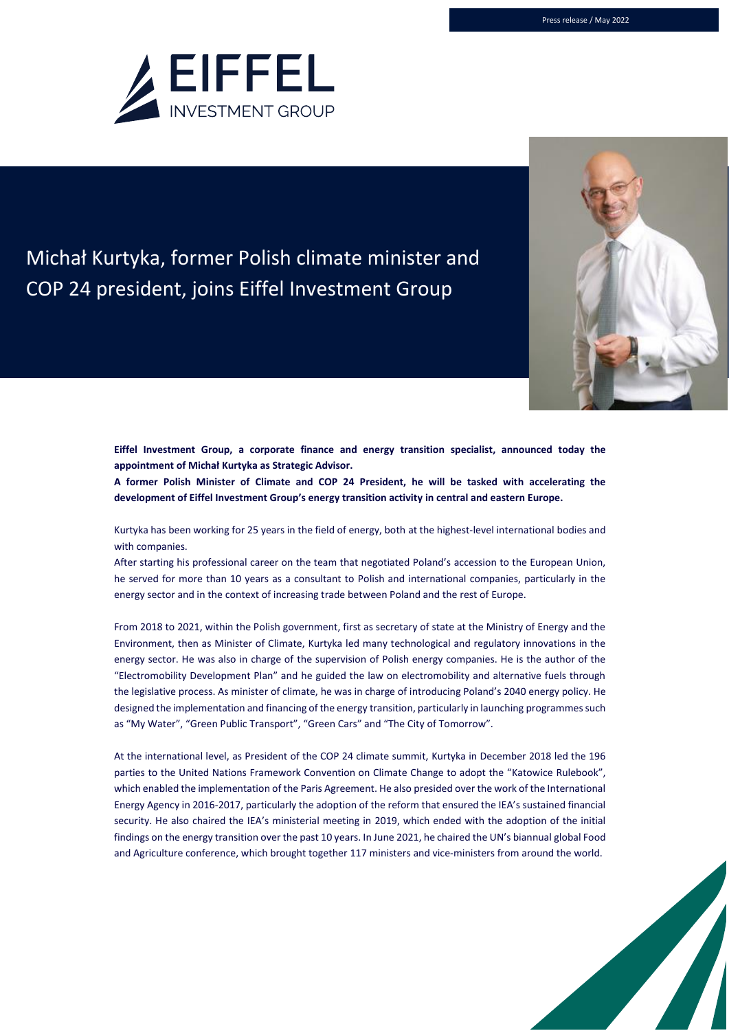

## Michał Kurtyka, former Polish climate minister and COP 24 president, joins Eiffel Investment Group

**Eiffel Investment Group, a corporate finance and energy transition specialist, announced today the appointment of Michał Kurtyka as Strategic Advisor.**

**A former Polish Minister of Climate and COP 24 President, he will be tasked with accelerating the development of Eiffel Investment Group's energy transition activity in central and eastern Europe.**

Kurtyka has been working for 25 years in the field of energy, both at the highest-level international bodies and with companies.

After starting his professional career on the team that negotiated Poland's accession to the European Union, he served for more than 10 years as a consultant to Polish and international companies, particularly in the energy sector and in the context of increasing trade between Poland and the rest of Europe.

From 2018 to 2021, within the Polish government, first as secretary of state at the Ministry of Energy and the Environment, then as Minister of Climate, Kurtyka led many technological and regulatory innovations in the energy sector. He was also in charge of the supervision of Polish energy companies. He is the author of the "Electromobility Development Plan" and he guided the law on electromobility and alternative fuels through the legislative process. As minister of climate, he was in charge of introducing Poland's 2040 energy policy. He designed the implementation and financing of the energy transition, particularly in launching programmes such as "My Water", "Green Public Transport", "Green Cars" and "The City of Tomorrow".

At the international level, as President of the COP 24 climate summit, Kurtyka in December 2018 led the 196 parties to the United Nations Framework Convention on Climate Change to adopt the "Katowice Rulebook", which enabled the implementation of the Paris Agreement. He also presided over the work of the International Energy Agency in 2016-2017, particularly the adoption of the reform that ensured the IEA's sustained financial security. He also chaired the IEA's ministerial meeting in 2019, which ended with the adoption of the initial findings on the energy transition over the past 10 years. In June 2021, he chaired the UN's biannual global Food and Agriculture conference, which brought together 117 ministers and vice-ministers from around the world.